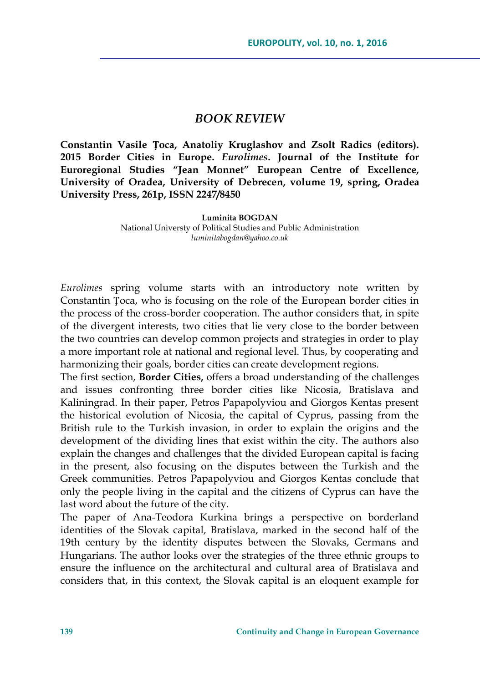## *BOOK REVIEW*

**Constantin Vasile Țoca, Anatoliy Kruglashov and Zsolt Radics (editors). 2015 Border Cities in Europe.** *Eurolimes***. Journal of the Institute for Euroregional Studies "Jean Monnet" European Centre of Excellence, University of Oradea, University of Debrecen, volume 19, spring, Oradea University Press, 261p, ISSN 2247/8450**

**Luminita BOGDAN**

National Universty of Political Studies and Public Administration *luminitabogdan@yahoo.co.uk*

*Eurolimes* spring volume starts with an introductory note written by Constantin Țoca, who is focusing on the role of the European border cities in the process of the cross-border cooperation. The author considers that, in spite of the divergent interests, two cities that lie very close to the border between the two countries can develop common projects and strategies in order to play a more important role at national and regional level. Thus, by cooperating and harmonizing their goals, border cities can create development regions.

The first section, **Border Cities,** offers a broad understanding of the challenges and issues confronting three border cities like Nicosia, Bratislava and Kaliningrad. In their paper, Petros Papapolyviou and Giorgos Kentas present the historical evolution of Nicosia, the capital of Cyprus, passing from the British rule to the Turkish invasion, in order to explain the origins and the development of the dividing lines that exist within the city. The authors also explain the changes and challenges that the divided European capital is facing in the present, also focusing on the disputes between the Turkish and the Greek communities. Petros Papapolyviou and Giorgos Kentas conclude that only the people living in the capital and the citizens of Cyprus can have the last word about the future of the city.

The paper of Ana-Teodora Kurkina brings a perspective on borderland identities of the Slovak capital, Bratislava, marked in the second half of the 19th century by the identity disputes between the Slovaks, Germans and Hungarians. The author looks over the strategies of the three ethnic groups to ensure the influence on the architectural and cultural area of Bratislava and considers that, in this context, the Slovak capital is an eloquent example for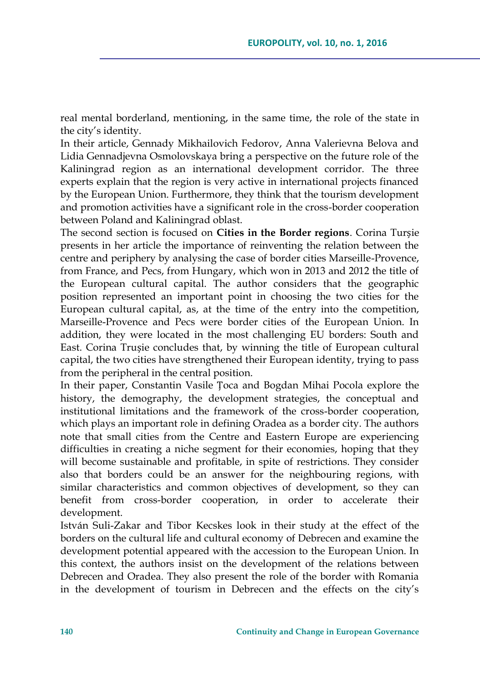real mental borderland, mentioning, in the same time, the role of the state in the city's identity.

In their article, Gennady Mikhailovich Fedorov, Anna Valerievna Belova and Lidia Gennadjevna Osmolovskaya bring a perspective on the future role of the Kaliningrad region as an international development corridor. The three experts explain that the region is very active in international projects financed by the European Union. Furthermore, they think that the tourism development and promotion activities have a significant role in the cross-border cooperation between Poland and Kaliningrad oblast.

The second section is focused on **Cities in the Border regions**. Corina Turșie presents in her article the importance of reinventing the relation between the centre and periphery by analysing the case of border cities Marseille-Provence, from France, and Pecs, from Hungary, which won in 2013 and 2012 the title of the European cultural capital. The author considers that the geographic position represented an important point in choosing the two cities for the European cultural capital, as, at the time of the entry into the competition, Marseille-Provence and Pecs were border cities of the European Union. In addition, they were located in the most challenging EU borders: South and East. Corina Trușie concludes that, by winning the title of European cultural capital, the two cities have strengthened their European identity, trying to pass from the peripheral in the central position.

In their paper, Constantin Vasile Țoca and Bogdan Mihai Pocola explore the history, the demography, the development strategies, the conceptual and institutional limitations and the framework of the cross-border cooperation, which plays an important role in defining Oradea as a border city. The authors note that small cities from the Centre and Eastern Europe are experiencing difficulties in creating a niche segment for their economies, hoping that they will become sustainable and profitable, in spite of restrictions. They consider also that borders could be an answer for the neighbouring regions, with similar characteristics and common objectives of development, so they can benefit from cross-border cooperation, in order to accelerate their development.

István Suli-Zakar and Tibor Kecskes look in their study at the effect of the borders on the cultural life and cultural economy of Debrecen and examine the development potential appeared with the accession to the European Union. In this context, the authors insist on the development of the relations between Debrecen and Oradea. They also present the role of the border with Romania in the development of tourism in Debrecen and the effects on the city's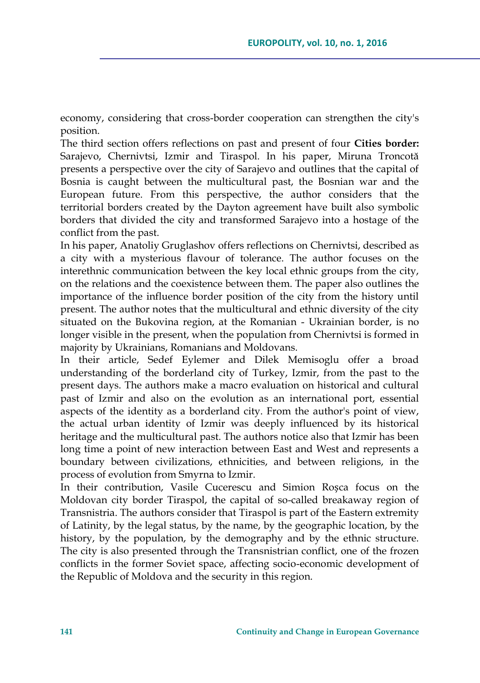economy, considering that cross-border cooperation can strengthen the city's position.

The third section offers reflections on past and present of four **Cities border:**  Sarajevo, Chernivtsi, Izmir and Tiraspol. In his paper, Miruna Troncotă presents a perspective over the city of Sarajevo and outlines that the capital of Bosnia is caught between the multicultural past, the Bosnian war and the European future. From this perspective, the author considers that the territorial borders created by the Dayton agreement have built also symbolic borders that divided the city and transformed Sarajevo into a hostage of the conflict from the past.

In his paper, Anatoliy Gruglashov offers reflections on Chernivtsi, described as a city with a mysterious flavour of tolerance. The author focuses on the interethnic communication between the key local ethnic groups from the city, on the relations and the coexistence between them. The paper also outlines the importance of the influence border position of the city from the history until present. The author notes that the multicultural and ethnic diversity of the city situated on the Bukovina region, at the Romanian - Ukrainian border, is no longer visible in the present, when the population from Chernivtsi is formed in majority by Ukrainians, Romanians and Moldovans.

In their article, Sedef Eylemer and Dilek Memisoglu offer a broad understanding of the borderland city of Turkey, Izmir, from the past to the present days. The authors make a macro evaluation on historical and cultural past of Izmir and also on the evolution as an international port, essential aspects of the identity as a borderland city. From the author's point of view, the actual urban identity of Izmir was deeply influenced by its historical heritage and the multicultural past. The authors notice also that Izmir has been long time a point of new interaction between East and West and represents a boundary between civilizations, ethnicities, and between religions, in the process of evolution from Smyrna to Izmir.

In their contribution, Vasile Cucerescu and Simion Roșca focus on the Moldovan city border Tiraspol, the capital of so-called breakaway region of Transnistria. The authors consider that Tiraspol is part of the Eastern extremity of Latinity, by the legal status, by the name, by the geographic location, by the history, by the population, by the demography and by the ethnic structure. The city is also presented through the Transnistrian conflict, one of the frozen conflicts in the former Soviet space, affecting socio-economic development of the Republic of Moldova and the security in this region.